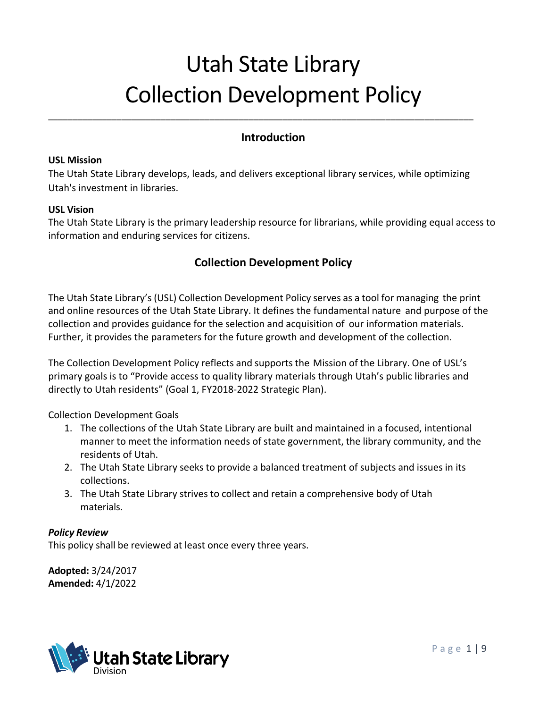# Utah State Library Collection Development Policy

### **Introduction**

#### **USL Mission**

The Utah State Library develops, leads, and delivers exceptional library services, while optimizing Utah's investment in libraries.

\_\_\_\_\_\_\_\_\_\_\_\_\_\_\_\_\_\_\_\_\_\_\_\_\_\_\_\_\_\_\_\_\_\_\_\_\_\_\_\_\_\_\_\_\_\_\_\_\_\_\_\_\_\_\_\_\_\_\_\_\_\_\_\_\_\_\_\_\_\_\_\_\_\_\_\_\_\_\_\_\_\_\_\_\_\_\_

#### **USL Vision**

The Utah State Library is the primary leadership resource for librarians, while providing equal access to information and enduring services for citizens.

## **Collection Development Policy**

The Utah State Library's(USL) Collection Development Policy serves as a tool for managing the print and online resources of the Utah State Library. It defines the fundamental nature and purpose of the collection and provides guidance for the selection and acquisition of our information materials. Further, it provides the parameters for the future growth and development of the collection.

The Collection Development Policy reflects and supports the Mission of the Library. One of USL's primary goals is to "Provide access to quality library materials through Utah's public libraries and directly to Utah residents" (Goal 1, FY2018-2022 Strategic Plan).

Collection Development Goals

- 1. The collections of the Utah State Library are built and maintained in a focused, intentional manner to meet the information needs of state government, the library community, and the residents of Utah.
- 2. The Utah State Library seeks to provide a balanced treatment of subjects and issues in its collections.
- 3. The Utah State Library strives to collect and retain a comprehensive body of Utah materials.

#### *Policy Review*

This policy shall be reviewed at least once every three years.

**Adopted:** 3/24/2017 **Amended:** 4/1/2022

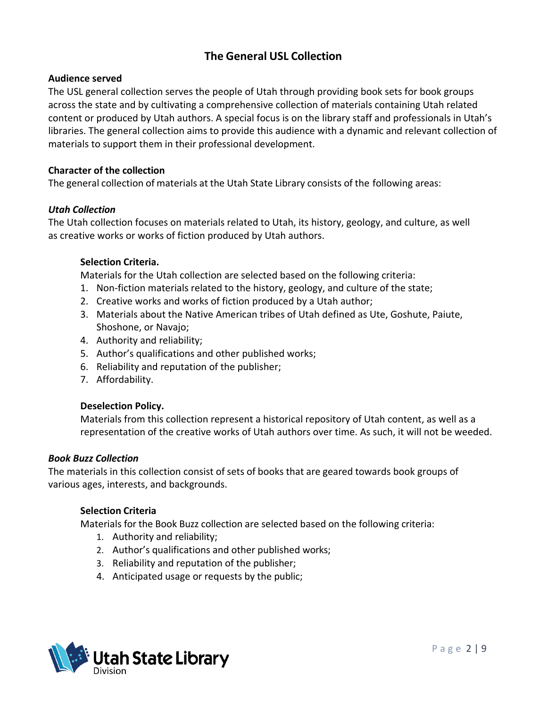## **The General USL Collection**

#### **Audience served**

The USL general collection serves the people of Utah through providing book sets for book groups across the state and by cultivating a comprehensive collection of materials containing Utah related content or produced by Utah authors. A special focus is on the library staff and professionals in Utah's libraries. The general collection aims to provide this audience with a dynamic and relevant collection of materials to support them in their professional development.

#### **Character of the collection**

The general collection of materials at the Utah State Library consists of the following areas:

#### *Utah Collection*

The Utah collection focuses on materials related to Utah, its history, geology, and culture, as well as creative works or works of fiction produced by Utah authors.

#### **Selection Criteria.**

Materials for the Utah collection are selected based on the following criteria:

- 1. Non-fiction materials related to the history, geology, and culture of the state;
- 2. Creative works and works of fiction produced by a Utah author;
- 3. Materials about the Native American tribes of Utah defined as Ute, Goshute, Paiute, Shoshone, or Navajo;
- 4. Authority and reliability;
- 5. Author's qualifications and other published works;
- 6. Reliability and reputation of the publisher;
- 7. Affordability.

#### **Deselection Policy.**

Materials from this collection represent a historical repository of Utah content, as well as a representation of the creative works of Utah authors over time. As such, it will not be weeded.

#### *Book Buzz Collection*

The materials in this collection consist of sets of books that are geared towards book groups of various ages, interests, and backgrounds.

#### **Selection Criteria**

Materials for the Book Buzz collection are selected based on the following criteria:

- 1. Authority and reliability;
- 2. Author's qualifications and other published works;
- 3. Reliability and reputation of the publisher;
- 4. Anticipated usage or requests by the public;

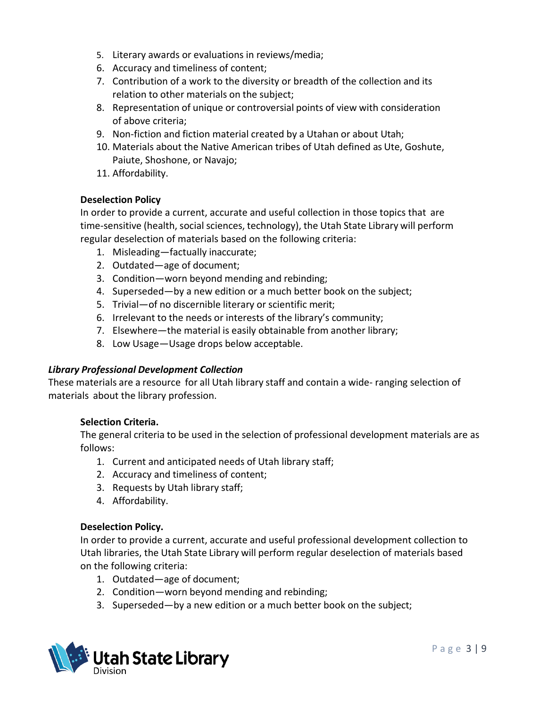- 5. Literary awards or evaluations in reviews/media;
- 6. Accuracy and timeliness of content;
- 7. Contribution of a work to the diversity or breadth of the collection and its relation to other materials on the subject;
- 8. Representation of unique or controversial points of view with consideration of above criteria;
- 9. Non-fiction and fiction material created by a Utahan or about Utah;
- 10. Materials about the Native American tribes of Utah defined as Ute, Goshute, Paiute, Shoshone, or Navajo;
- 11. Affordability.

#### **Deselection Policy**

In order to provide a current, accurate and useful collection in those topics that are time-sensitive (health, social sciences, technology), the Utah State Library will perform regular deselection of materials based on the following criteria:

- 1. Misleading—factually inaccurate;
- 2. Outdated—age of document;
- 3. Condition—worn beyond mending and rebinding;
- 4. Superseded—by a new edition or a much better book on the subject;
- 5. Trivial—of no discernible literary or scientific merit;
- 6. Irrelevant to the needs or interests of the library's community;
- 7. Elsewhere—the material is easily obtainable from another library;
- 8. Low Usage—Usage drops below acceptable.

#### *Library Professional Development Collection*

These materials are a resource for all Utah library staff and contain a wide- ranging selection of materials about the library profession.

#### **Selection Criteria.**

The general criteria to be used in the selection of professional development materials are as follows:

- 1. Current and anticipated needs of Utah library staff;
- 2. Accuracy and timeliness of content;
- 3. Requests by Utah library staff;
- 4. Affordability.

#### **Deselection Policy.**

In order to provide a current, accurate and useful professional development collection to Utah libraries, the Utah State Library will perform regular deselection of materials based on the following criteria:

- 1. Outdated—age of document;
- 2. Condition—worn beyond mending and rebinding;
- 3. Superseded—by a new edition or a much better book on the subject;

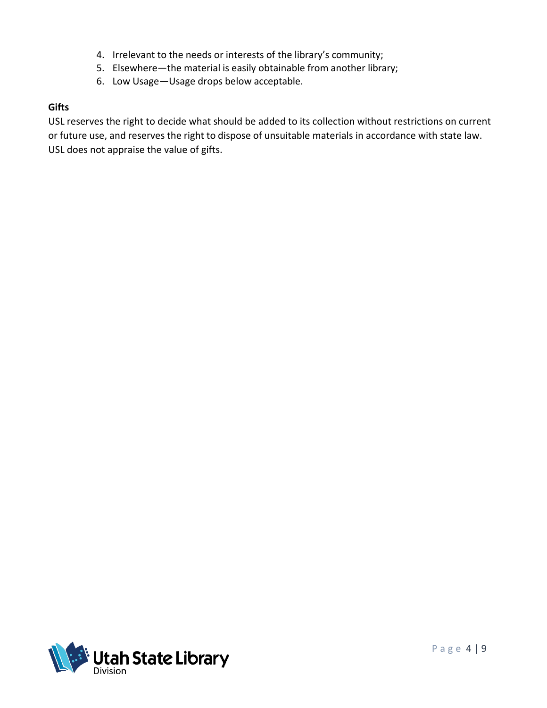- 4. Irrelevant to the needs or interests of the library's community;
- 5. Elsewhere—the material is easily obtainable from another library;
- 6. Low Usage—Usage drops below acceptable.

#### **Gifts**

USL reserves the right to decide what should be added to its collection without restrictions on current or future use, and reserves the right to dispose of unsuitable materials in accordance with state law. USL does not appraise the value of gifts.

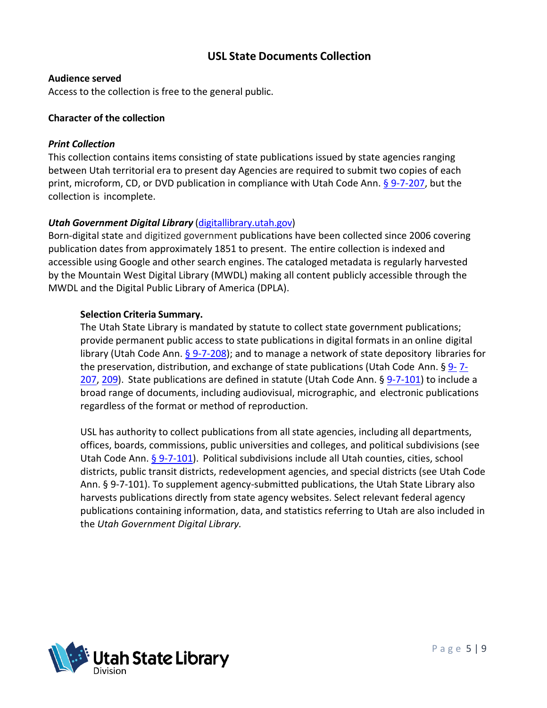## **USL State Documents Collection**

#### **Audience served**

Access to the collection is free to the general public.

#### **Character of the collection**

#### *Print Collection*

This collection contains items consisting of state publications issued by state agencies ranging between Utah territorial era to present day Agencies are required to submit two copies of each print, microform, CD, or DVD publication in compliance with Utah Code Ann. [§ 9-7-207,](https://le.utah.gov/xcode/Title9/Chapter7/9-7-S207.html) but the collection is incomplete.

#### *Utah Government Digital Library* (digitallibrary.utah.gov)

Born-digital state and digitized government publications have been collected since 2006 covering publication dates from approximately 1851 to present. The entire collection is indexed and accessible using Google and other search engines. The cataloged metadata is regularly harvested by the Mountain West Digital Library (MWDL) making all content publicly accessible through the MWDL and the Digital Public Library of America (DPLA).

#### **Selection Criteria Summary.**

The Utah State Library is mandated by statute to collect state government publications; provide permanent public access to state publications in digital formats in an online digital library (Utah Code Ann.  $\S$  9-7-208); and to manage a network of state depository libraries for the preservation, distribution, and exchange of state publications (Utah Code Ann.  $\S 9 - 7 -$ [207,](https://le.utah.gov/xcode/Title9/Chapter7/9-7-S207.html) [209\)](https://le.utah.gov/xcode/Title9/Chapter7/9-7-S209.html). State publications are defined in statute (Utah Code Ann. § [9-7-101\)](https://le.utah.gov/xcode/Title9/Chapter7/9-7-S101.html) to include a broad range of documents, including audiovisual, micrographic, and electronic publications regardless of the format or method of reproduction.

USL has authority to collect publications from all state agencies, including all departments, offices, boards, commissions, public universities and colleges, and political subdivisions (see Utah Code Ann. [§ 9-7-101\)](https://le.utah.gov/xcode/Title9/Chapter7/9-7-S101.html). Political subdivisions include all Utah counties, cities, school districts, public transit districts, redevelopment agencies, and special districts (see Utah Code Ann. § 9-7-101). To supplement agency-submitted publications, the Utah State Library also harvests publications directly from state agency websites. Select relevant federal agency publications containing information, data, and statistics referring to Utah are also included in the *Utah Government Digital Library.*

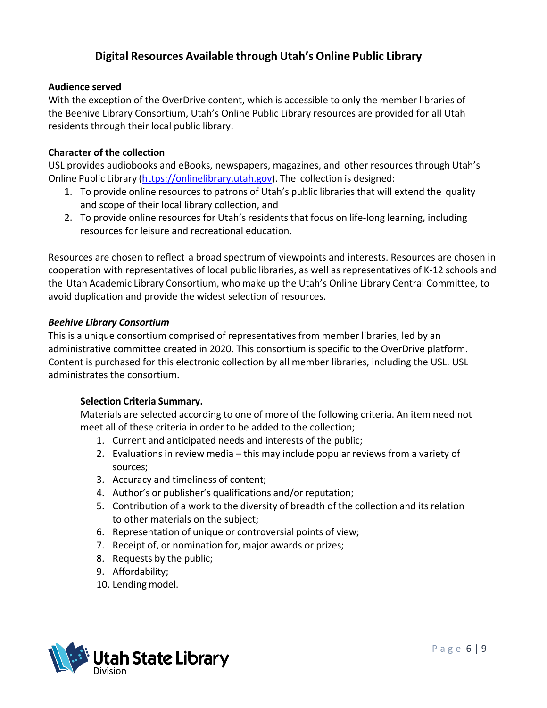## **Digital Resources Available through Utah's Online Public Library**

#### **Audience served**

With the exception of the OverDrive content, which is accessible to only the member libraries of the Beehive Library Consortium, Utah's Online Public Library resources are provided for all Utah residents through their local public library.

#### **Character of the collection**

USL provides audiobooks and eBooks, newspapers, magazines, and other resources through Utah's Online Public Library [\(https://onlinelibrary.utah.gov\)](https://onlinelibrary.utah.gov/). The collection is designed:

- 1. To provide online resources to patrons of Utah's public libraries that will extend the quality and scope of their local library collection, and
- 2. To provide online resources for Utah's residents that focus on life-long learning, including resources for leisure and recreational education.

Resources are chosen to reflect a broad spectrum of viewpoints and interests. Resources are chosen in cooperation with representatives of local public libraries, as well as representatives of K-12 schools and the Utah Academic Library Consortium, who make up the Utah's Online Library Central Committee, to avoid duplication and provide the widest selection of resources.

#### *Beehive Library Consortium*

This is a unique consortium comprised of representatives from member libraries, led by an administrative committee created in 2020. This consortium is specific to the OverDrive platform. Content is purchased for this electronic collection by all member libraries, including the USL. USL administrates the consortium.

#### **Selection Criteria Summary.**

Materials are selected according to one of more of the following criteria. An item need not meet all of these criteria in order to be added to the collection;

- 1. Current and anticipated needs and interests of the public;
- 2. Evaluations in review media this may include popular reviews from a variety of sources;
- 3. Accuracy and timeliness of content;
- 4. Author's or publisher's qualifications and/or reputation;
- 5. Contribution of a work to the diversity of breadth of the collection and its relation to other materials on the subject;
- 6. Representation of unique or controversial points of view;
- 7. Receipt of, or nomination for, major awards or prizes;
- 8. Requests by the public;
- 9. Affordability;
- 10. Lending model.

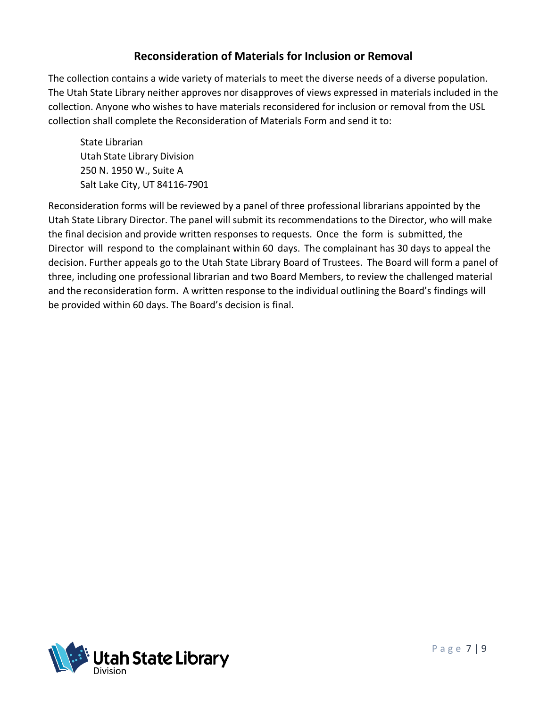## **Reconsideration of Materials for Inclusion or Removal**

The collection contains a wide variety of materials to meet the diverse needs of a diverse population. The Utah State Library neither approves nor disapproves of views expressed in materials included in the collection. Anyone who wishes to have materials reconsidered for inclusion or removal from the USL collection shall complete the Reconsideration of Materials Form and send it to:

State Librarian Utah State Library Division 250 N. 1950 W., Suite A Salt Lake City, UT 84116-7901

Reconsideration forms will be reviewed by a panel of three professional librarians appointed by the Utah State Library Director. The panel will submit its recommendations to the Director, who will make the final decision and provide written responses to requests. Once the form is submitted, the Director will respond to the complainant within 60 days. The complainant has 30 days to appeal the decision. Further appeals go to the Utah State Library Board of Trustees. The Board will form a panel of three, including one professional librarian and two Board Members, to review the challenged material and the reconsideration form. A written response to the individual outlining the Board's findings will be provided within 60 days. The Board's decision is final.

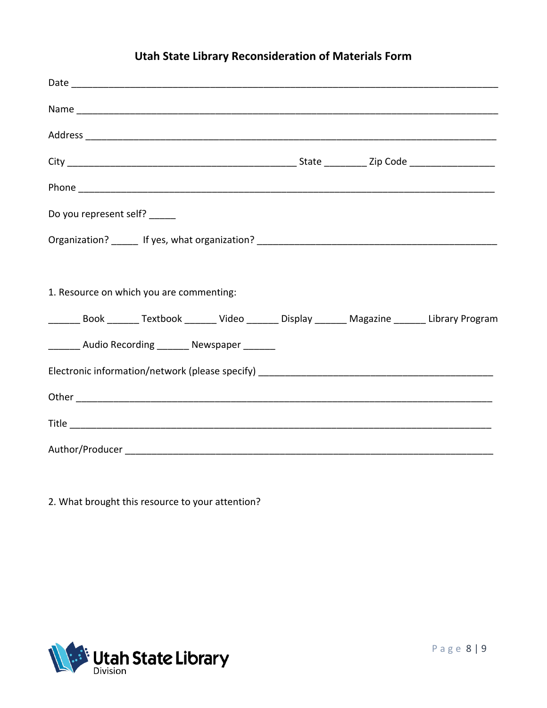## **Utah State Library Reconsideration of Materials Form**

| Do you represent self? _____                                                                          |  |  |
|-------------------------------------------------------------------------------------------------------|--|--|
|                                                                                                       |  |  |
| 1. Resource on which you are commenting:                                                              |  |  |
| ________ Book _______ Textbook _______ Video _______ Display _______ Magazine _______ Library Program |  |  |
| ________ Audio Recording ________ Newspaper _______                                                   |  |  |
|                                                                                                       |  |  |
|                                                                                                       |  |  |
|                                                                                                       |  |  |
|                                                                                                       |  |  |

2. What brought this resource to your attention?